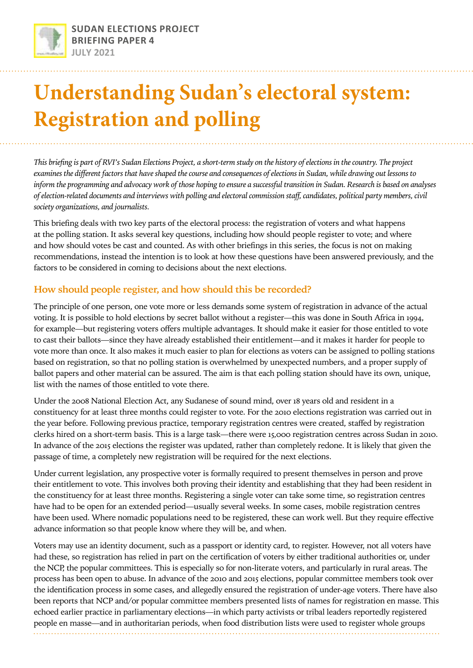

# **Understanding Sudan's electoral system: Registration and polling**

*This briefing is part of RVI's Sudan Elections Project, a short-term study on the history of elections in the country. The project examines the different factors that have shaped the course and consequences of elections in Sudan, while drawing out lessons to inform the programming and advocacy work of those hoping to ensure a successful transition in Sudan. Research is based on analyses of election-related documents and interviews with polling and electoral commission staff, candidates, political party members, civil society organizations, and journalists.*

This briefing deals with two key parts of the electoral process: the registration of voters and what happens at the polling station. It asks several key questions, including how should people register to vote; and where and how should votes be cast and counted. As with other briefings in this series, the focus is not on making recommendations, instead the intention is to look at how these questions have been answered previously, and the factors to be considered in coming to decisions about the next elections.

## **How should people register, and how should this be recorded?**

The principle of one person, one vote more or less demands some system of registration in advance of the actual voting. It is possible to hold elections by secret ballot without a register—this was done in South Africa in 1994, for example—but registering voters offers multiple advantages. It should make it easier for those entitled to vote to cast their ballots—since they have already established their entitlement—and it makes it harder for people to vote more than once. It also makes it much easier to plan for elections as voters can be assigned to polling stations based on registration, so that no polling station is overwhelmed by unexpected numbers, and a proper supply of ballot papers and other material can be assured. The aim is that each polling station should have its own, unique, list with the names of those entitled to vote there.

Under the 2008 National Election Act, any Sudanese of sound mind, over 18 years old and resident in a constituency for at least three months could register to vote. For the 2010 elections registration was carried out in the year before. Following previous practice, temporary registration centres were created, staffed by registration clerks hired on a short-term basis. This is a large task—there were 15,000 registration centres across Sudan in 2010. In advance of the 2015 elections the register was updated, rather than completely redone. It is likely that given the passage of time, a completely new registration will be required for the next elections.

Under current legislation, any prospective voter is formally required to present themselves in person and prove their entitlement to vote. This involves both proving their identity and establishing that they had been resident in the constituency for at least three months. Registering a single voter can take some time, so registration centres have had to be open for an extended period—usually several weeks. In some cases, mobile registration centres have been used. Where nomadic populations need to be registered, these can work well. But they require effective advance information so that people know where they will be, and when.

Voters may use an identity document, such as a passport or identity card, to register. However, not all voters have had these, so registration has relied in part on the certification of voters by either traditional authorities or, under the NCP, the popular committees. This is especially so for non-literate voters, and particularly in rural areas. The process has been open to abuse. In advance of the 2010 and 2015 elections, popular committee members took over the identification process in some cases, and allegedly ensured the registration of under-age voters. There have also been reports that NCP and/or popular committee members presented lists of names for registration en masse. This echoed earlier practice in parliamentary elections—in which party activists or tribal leaders reportedly registered people en masse—and in authoritarian periods, when food distribution lists were used to register whole groups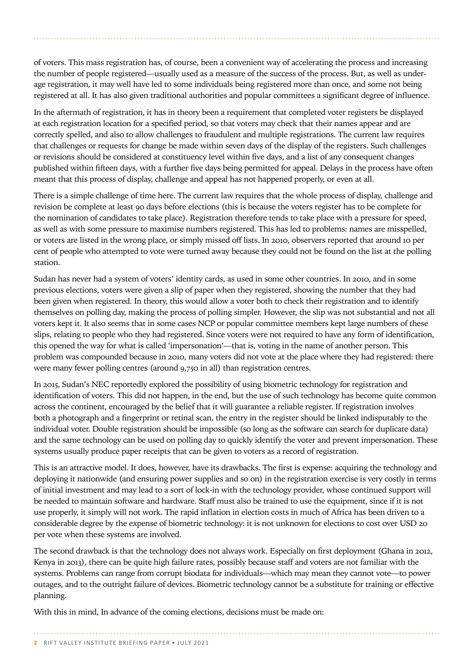of voters. This mass registration has, of course, been a convenient way of accelerating the process and increasing the number of people registered—usually used as a measure of the success of the process. But, as well as underage registration, it may well have led to some individuals being registered more than once, and some not being registered at all. It has also given traditional authorities and popular committees a significant degree of influence.

In the aftermath of registration, it has in theory been a requirement that completed voter registers be displayed at each registration location for a specified period, so that voters may check that their names appear and are correctly spelled, and also to allow challenges to fraudulent and multiple registrations. The current law requires that challenges or requests for change be made within seven days of the display of the registers. Such challenges or revisions should be considered at constituency level within five days, and a list of any consequent changes published within fifteen days, with a further five days being permitted for appeal. Delays in the process have often meant that this process of display, challenge and appeal has not happened properly, or even at all.

There is a simple challenge of time here. The current law requires that the whole process of display, challenge and revision be complete at least 90 days before elections (this is because the voters register has to be complete for the nomination of candidates to take place). Registration therefore tends to take place with a pressure for speed, as well as with some pressure to maximise numbers registered. This has led to problems: names are misspelled, or voters are listed in the wrong place, or simply missed off lists. In 2010, observers reported that around 10 per cent of people who attempted to vote were turned away because they could not be found on the list at the polling station.

Sudan has never had a system of voters' identity cards, as used in some other countries. In 2010, and in some previous elections, voters were given a slip of paper when they registered, showing the number that they had been given when registered. In theory, this would allow a voter both to check their registration and to identify themselves on polling day, making the process of polling simpler. However, the slip was not substantial and not all voters kept it. It also seems that in some cases NCP or popular committee members kept large numbers of these slips, relating to people who they had registered. Since voters were not required to have any form of identification, this opened the way for what is called 'impersonation'—that is, voting in the name of another person. This problem was compounded because in 2010, many voters did not vote at the place where they had registered: there were many fewer polling centres (around 9,750 in all) than registration centres.

In 2015, Sudan's NEC reportedly explored the possibility of using biometric technology for registration and identification of voters. This did not happen, in the end, but the use of such technology has become quite common across the continent, encouraged by the belief that it will guarantee a reliable register. If registration involves both a photograph and a fingerprint or retinal scan, the entry in the register should be linked indisputably to the individual voter. Double registration should be impossible (so long as the software can search for duplicate data) and the same technology can be used on polling day to quickly identify the voter and prevent impersonation. These systems usually produce paper receipts that can be given to voters as a record of registration.

This is an attractive model. It does, however, have its drawbacks. The first is expense: acquiring the technology and deploying it nationwide (and ensuring power supplies and so on) in the registration exercise is very costly in terms of initial investment and may lead to a sort of lock-in with the technology provider, whose continued support will be needed to maintain software and hardware. Staff must also be trained to use the equipment, since if it is not use properly, it simply will not work. The rapid inflation in election costs in much of Africa has been driven to a considerable degree by the expense of biometric technology: it is not unknown for elections to cost over USD 20 per vote when these systems are involved.

The second drawback is that the technology does not always work. Especially on first deployment (Ghana in 2012, Kenya in 2013), there can be quite high failure rates, possibly because staff and voters are not familiar with the systems. Problems can range from corrupt biodata for individuals—which may mean they cannot vote—to power outages, and to the outright failure of devices. Biometric technology cannot be a substitute for training or effective planning.

With this in mind, In advance of the coming elections, decisions must be made on:

#### **2** RIFT VALLEY INSTITUTE BRIEFING PAPER • JULY 2021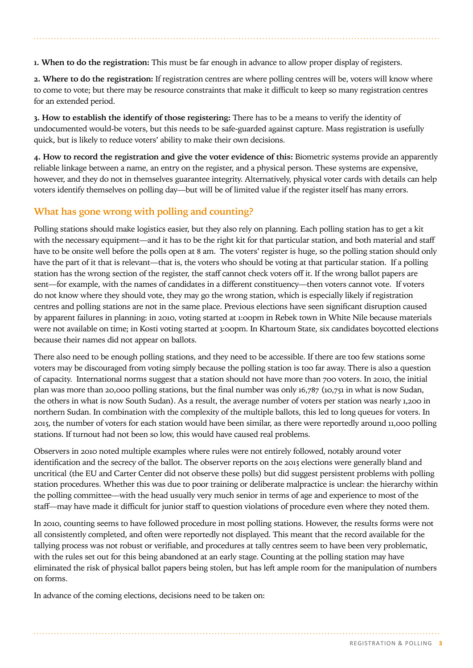**1. When to do the registration:** This must be far enough in advance to allow proper display of registers.

**2. Where to do the registration:** If registration centres are where polling centres will be, voters will know where to come to vote; but there may be resource constraints that make it difficult to keep so many registration centres for an extended period.

**3. How to establish the identify of those registering:** There has to be a means to verify the identity of undocumented would-be voters, but this needs to be safe-guarded against capture. Mass registration is usefully quick, but is likely to reduce voters' ability to make their own decisions.

**4. How to record the registration and give the voter evidence of this:** Biometric systems provide an apparently reliable linkage between a name, an entry on the register, and a physical person. These systems are expensive, however, and they do not in themselves guarantee integrity. Alternatively, physical voter cards with details can help voters identify themselves on polling day—but will be of limited value if the register itself has many errors.

## **What has gone wrong with polling and counting?**

Polling stations should make logistics easier, but they also rely on planning. Each polling station has to get a kit with the necessary equipment—and it has to be the right kit for that particular station, and both material and staff have to be onsite well before the polls open at 8 am. The voters' register is huge, so the polling station should only have the part of it that is relevant—that is, the voters who should be voting at that particular station. If a polling station has the wrong section of the register, the staff cannot check voters off it. If the wrong ballot papers are sent—for example, with the names of candidates in a different constituency—then voters cannot vote. If voters do not know where they should vote, they may go the wrong station, which is especially likely if registration centres and polling stations are not in the same place. Previous elections have seen significant disruption caused by apparent failures in planning: in 2010, voting started at 1:00pm in Rebek town in White Nile because materials were not available on time; in Kosti voting started at 3:00pm. In Khartoum State, six candidates boycotted elections because their names did not appear on ballots.

There also need to be enough polling stations, and they need to be accessible. If there are too few stations some voters may be discouraged from voting simply because the polling station is too far away. There is also a question of capacity. International norms suggest that a station should not have more than 700 voters. In 2010, the initial plan was more than 20,000 polling stations, but the final number was only 16,787 (10,751 in what is now Sudan, the others in what is now South Sudan). As a result, the average number of voters per station was nearly 1,200 in northern Sudan. In combination with the complexity of the multiple ballots, this led to long queues for voters. In 2015, the number of voters for each station would have been similar, as there were reportedly around 11,000 polling stations. If turnout had not been so low, this would have caused real problems.

Observers in 2010 noted multiple examples where rules were not entirely followed, notably around voter identification and the secrecy of the ballot. The observer reports on the 2015 elections were generally bland and uncritical (the EU and Carter Center did not observe these polls) but did suggest persistent problems with polling station procedures. Whether this was due to poor training or deliberate malpractice is unclear: the hierarchy within the polling committee—with the head usually very much senior in terms of age and experience to most of the staff—may have made it difficult for junior staff to question violations of procedure even where they noted them.

In 2010, counting seems to have followed procedure in most polling stations. However, the results forms were not all consistently completed, and often were reportedly not displayed. This meant that the record available for the tallying process was not robust or verifiable, and procedures at tally centres seem to have been very problematic, with the rules set out for this being abandoned at an early stage. Counting at the polling station may have eliminated the risk of physical ballot papers being stolen, but has left ample room for the manipulation of numbers on forms.

In advance of the coming elections, decisions need to be taken on: